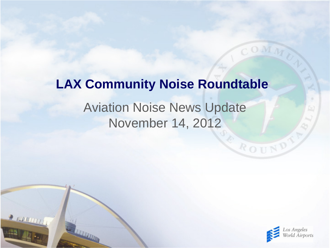# **LAX Community Noise Roundtable**

# Aviation Noise News Update November 14, 2012

 $2000000$ 



ROUND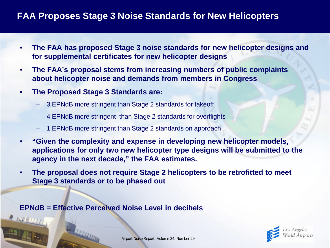# **FAA Proposes Stage 3 Noise Standards for New Helicopters**

- **The FAA has proposed Stage 3 noise standards for new helicopter designs and for supplemental certificates for new helicopter designs**
- **The FAA's proposal stems from increasing numbers of public complaints about helicopter noise and demands from members in Congress**
- **The Proposed Stage 3 Standards are:**
	- 3 EPNdB more stringent than Stage 2 standards for takeoff
	- 4 EPNdB more stringent than Stage 2 standards for overflights
	- 1 EPNdB more stringent than Stage 2 standards on approach
- **"Given the complexity and expense in developing new helicopter models, applications for only two new helicopter type designs will be submitted to the agency in the next decade," the FAA estimates.**
- **The proposal does not require Stage 2 helicopters to be retrofitted to meet Stage 3 standards or to be phased out**

**EPNdB = Effective Perceived Noise Level in decibels**

2 AVAILLET

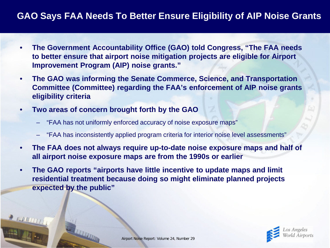# **GAO Says FAA Needs To Better Ensure Eligibility of AIP Noise Grants**

- **The Government Accountability Office (GAO) told Congress, "The FAA needs to better ensure that airport noise mitigation projects are eligible for Airport Improvement Program (AIP) noise grants."**
- **The GAO was informing the Senate Commerce, Science, and Transportation Committee (Committee) regarding the FAA's enforcement of AIP noise grants eligibility criteria**
- **Two areas of concern brought forth by the GAO**
	- "FAA has not uniformly enforced accuracy of noise exposure maps"
	- "FAA has inconsistently applied program criteria for interior noise level assessments"
- **The FAA does not always require up-to-date noise exposure maps and half of all airport noise exposure maps are from the 1990s or earlier**
- **The GAO reports "airports have little incentive to update maps and limit residential treatment because doing so might eliminate planned projects expected by the public"**

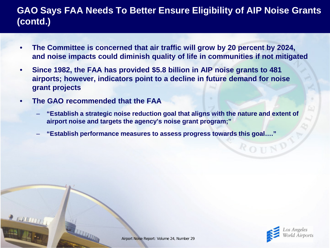# **GAO Says FAA Needs To Better Ensure Eligibility of AIP Noise Grants (contd.)**

- **The Committee is concerned that air traffic will grow by 20 percent by 2024, and noise impacts could diminish quality of life in communities if not mitigated**
- **Since 1982, the FAA has provided \$5.8 billion in AIP noise grants to 481 airports; however, indicators point to a decline in future demand for noise grant projects**
- **The GAO recommended that the FAA**
	- **"Establish a strategic noise reduction goal that aligns with the nature and extent of airport noise and targets the agency's noise grant program;"**
	- **"Establish performance measures to assess progress towards this goal…."**



ROUNI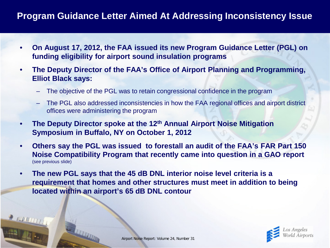# **Program Guidance Letter Aimed At Addressing Inconsistency Issue**

- **On August 17, 2012, the FAA issued its new Program Guidance Letter (PGL) on funding eligibility for airport sound insulation programs**
- **The Deputy Director of the FAA's Office of Airport Planning and Programming, Elliot Black says:**
	- The objective of the PGL was to retain congressional confidence in the program
	- The PGL also addressed inconsistencies in how the FAA regional offices and airport district offices were administering the program
- **The Deputy Director spoke at the 12th Annual Airport Noise Mitigation Symposium in Buffalo, NY on October 1, 2012**
- **Others say the PGL was issued to forestall an audit of the FAA's FAR Part 150 Noise Compatibility Program that recently came into question in a GAO report**  (see previous slide)
- **The new PGL says that the 45 dB DNL interior noise level criteria is a requirement that homes and other structures must meet in addition to being located within an airport's 65 dB DNL contour**



 $2$  running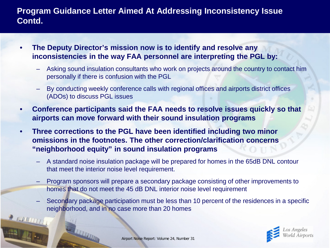#### **Program Guidance Letter Aimed At Addressing Inconsistency Issue Contd.**

- **The Deputy Director's mission now is to identify and resolve any inconsistencies in the way FAA personnel are interpreting the PGL by:**
	- Asking sound insulation consultants who work on projects around the country to contact him personally if there is confusion with the PGL
	- By conducting weekly conference calls with regional offices and airports district offices (ADOs) to discuss PGL issues
- **Conference participants said the FAA needs to resolve issues quickly so that airports can move forward with their sound insulation programs**
- **Three corrections to the PGL have been identified including two minor omissions in the footnotes. The other correction/clarification concerns "neighborhood equity" in sound insulation programs**
	- A standard noise insulation package will be prepared for homes in the 65dB DNL contour that meet the interior noise level requirement.
	- Program sponsors will prepare a secondary package consisting of other improvements to homes that do not meet the 45 dB DNL interior noise level requirement
	- Secondary package participation must be less than 10 percent of the residences in a specific neighborhood, and in no case more than 20 homes

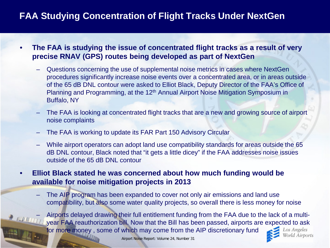# **FAA Studying Concentration of Flight Tracks Under NextGen**

- **The FAA is studying the issue of concentrated flight tracks as a result of very precise RNAV (GPS) routes being developed as part of NextGen**
	- Questions concerning the use of supplemental noise metrics in cases where NextGen procedures significantly increase noise events over a concentrated area, or in areas outside of the 65 dB DNL contour were asked to Elliot Black, Deputy Director of the FAA's Office of Planning and Programming, at the 12th Annual Airport Noise Mitigation Symposium in Buffalo, NY
	- The FAA is looking at concentrated flight tracks that are a new and growing source of airport noise complaints
	- The FAA is working to update its FAR Part 150 Advisory Circular
	- While airport operators can adopt land use compatibility standards for areas outside the 65 dB DNL contour, Black noted that "it gets a little dicey" if the FAA addresses noise issues outside of the 65 dB DNL contour
- **Elliot Black stated he was concerned about how much funding would be available for noise mitigation projects in 2013**
	- The AIP program has been expanded to cover not only air emissions and land use compatibility, but also some water quality projects, so overall there is less money for noise

– Airports delayed drawing their full entitlement funding from the FAA due to the lack of a multiyear FAA reauthorization bill. Now that the Bill has been passed, airports are expected to ask for more money , some of which may come from the AIP discretionary fund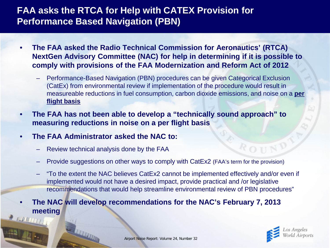## **FAA asks the RTCA for Help with CATEX Provision for Performance Based Navigation (PBN)**

- **The FAA asked the Radio Technical Commission for Aeronautics' (RTCA) NextGen Advisory Committee (NAC) for help in determining if it is possible to comply with provisions of the FAA Modernization and Reform Act of 2012**
	- Performance-Based Navigation (PBN) procedures can be given Categorical Exclusion (CatEx) from environmental review if implementation of the procedure would result in measureable reductions in fuel consumption, carbon dioxide emissions, and noise on a **per flight basis**
- **The FAA has not been able to develop a "technically sound approach" to measuring reductions in noise on a per flight basis**
- **The FAA Administrator asked the NAC to:**
	- Review technical analysis done by the FAA
	- Provide suggestions on other ways to comply with CatEx2 (FAA's term for the provision)
	- "To the extent the NAC believes CatEx2 cannot be implemented effectively and/or even if implemented would not have a desired impact, provide practical and /or legislative recommendations that would help streamline environmental review of PBN procedures"
- **The NAC will develop recommendations for the NAC's February 7, 2013 meeting JUNEAUTY**

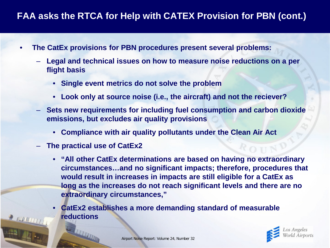# **FAA asks the RTCA for Help with CATEX Provision for PBN (cont.)**

- **The CatEx provisions for PBN procedures present several problems:**
	- **Legal and technical issues on how to measure noise reductions on a per flight basis**
		- **Single event metrics do not solve the problem**
		- **Look only at source noise (i.e., the aircraft) and not the reciever?**
	- **Sets new requirements for including fuel consumption and carbon dioxide emissions, but excludes air quality provisions**
		- **Compliance with air quality pollutants under the Clean Air Act**
	- **The practical use of CatEx2**
		- **"All other CatEx determinations are based on having no extraordinary circumstances…and no significant impacts; therefore, procedures that would result in increases in impacts are still eligible for a CatEx as long as the increases do not reach significant levels and there are no extraordinary circumstances,"**
		- **CatEx2 establishes a more demanding standard of measurable reductions**